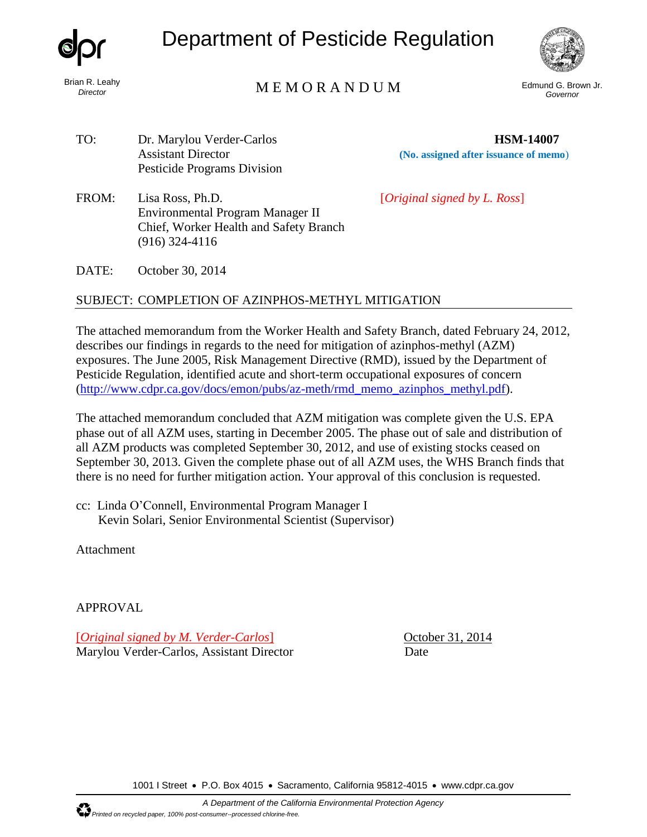

*Director*

# Department of Pesticide Regulation



# Edmund G. Brown Jr. M E M O R A N D U M *Governor*

TO: Dr. Marylou Verder-Carlos **HSM-14007** Assistant Director **(No. assigned after issuance of memo**) Pesticide Programs Division

(916) 324-4116

FROM: Lisa Ross, Ph.D. [*Original signed by L. Ross*]

DATE: October 30, 2014

### SUBJECT: COMPLETION OF AZINPHOS-METHYL MITIGATION

Environmental Program Manager II Chief, Worker Health and Safety Branch

The attached memorandum from the Worker Health and Safety Branch, dated February 24, 2012, describes our findings in regards to the need for mitigation of azinphos-methyl (AZM) exposures. The June 2005, Risk Management Directive (RMD), issued by the Department of Pesticide Regulation, identified acute and short-term occupational exposures of concern [\(http://www.cdpr.ca.gov/docs/emon/pubs/az-meth/rmd\\_memo\\_azinphos\\_methyl.pdf\)](http://www.cdpr.ca.gov/docs/emon/pubs/az-meth/rmd_memo_azinphos_methyl.pdf).

The attached memorandum concluded that AZM mitigation was complete given the U.S. EPA phase out of all AZM uses, starting in December 2005. The phase out of sale and distribution of all AZM products was completed September 30, 2012, and use of existing stocks ceased on September 30, 2013. Given the complete phase out of all AZM uses, the WHS Branch finds that there is no need for further mitigation action. Your approval of this conclusion is requested.

cc: Linda O'Connell, Environmental Program Manager I Kevin Solari, Senior Environmental Scientist (Supervisor)

Attachment

APPROVAL

[*Original signed by M. Verder-Carlos*] October 31, 2014 Marylou Verder-Carlos, Assistant Director Date

1001 I Street • P.O. Box 4015 • Sacramento, California 95812-4015 • [www.cdpr.ca.gov](http://www.cdpr.ca.gov/)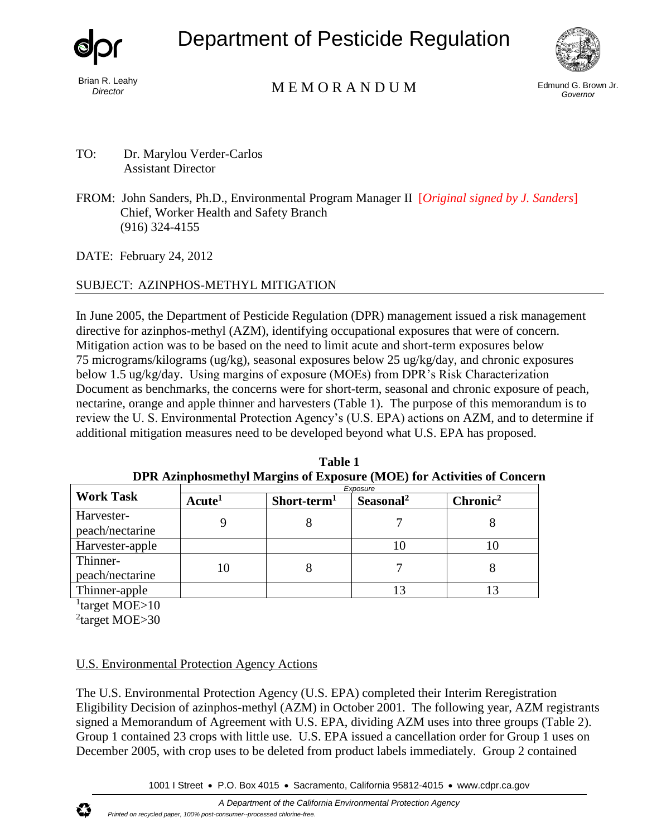

Brian R. Leahy *Director*

Department of Pesticide Regulation



# Edmund G. Brown Jr. M E M O R A N D U M *Governor*

- TO: Dr. Marylou Verder-Carlos Assistant Director
- FROM: John Sanders, Ph.D., Environmental Program Manager II [*Original signed by J. Sanders*] Chief, Worker Health and Safety Branch (916) 324-4155

DATE: February 24, 2012

## SUBJECT: AZINPHOS-METHYL MITIGATION

In June 2005, the Department of Pesticide Regulation (DPR) management issued a risk management directive for azinphos-methyl (AZM), identifying occupational exposures that were of concern. Mitigation action was to be based on the need to limit acute and short-term exposures below 75 micrograms/kilograms (ug/kg), seasonal exposures below 25 ug/kg/day, and chronic exposures below 1.5 ug/kg/day. Using margins of exposure (MOEs) from DPR's Risk Characterization Document as benchmarks, the concerns were for short-term, seasonal and chronic exposure of peach, nectarine, orange and apple thinner and harvesters (Table 1). The purpose of this memorandum is to review the U. S. Environmental Protection Agency's (U.S. EPA) actions on AZM, and to determine if additional mitigation measures need to be developed beyond what U.S. EPA has proposed.

|                  | Exposure           |                         |                       |                      |
|------------------|--------------------|-------------------------|-----------------------|----------------------|
| <b>Work Task</b> | Acute <sup>1</sup> | Short-term <sup>1</sup> | Seasonal <sup>2</sup> | Chronic <sup>2</sup> |
| Harvester-       |                    |                         |                       |                      |
| peach/nectarine  |                    |                         |                       |                      |
| Harvester-apple  |                    |                         | ΙU                    |                      |
| Thinner-         | 10                 |                         |                       |                      |
| peach/nectarine  |                    |                         |                       |                      |
| Thinner-apple    |                    |                         |                       |                      |

**Table 1 DPR Azinphosmethyl Margins of Exposure (MOE) for Activities of Concern**

<sup>1</sup>target MOE>10

<sup>2</sup>target MOE>30

## U.S. Environmental Protection Agency Actions

The U.S. Environmental Protection Agency (U.S. EPA) completed their Interim Reregistration Eligibility Decision of azinphos-methyl (AZM) in October 2001. The following year, AZM registrants signed a Memorandum of Agreement with U.S. EPA, dividing AZM uses into three groups (Table 2). Group 1 contained 23 crops with little use. U.S. EPA issued a cancellation order for Group 1 uses on December 2005, with crop uses to be deleted from product labels immediately. Group 2 contained

1001 I Street • P.O. Box 4015 • Sacramento, California 95812-4015 • [www.cdpr.ca.gov](http://www.cdpr.ca.gov/)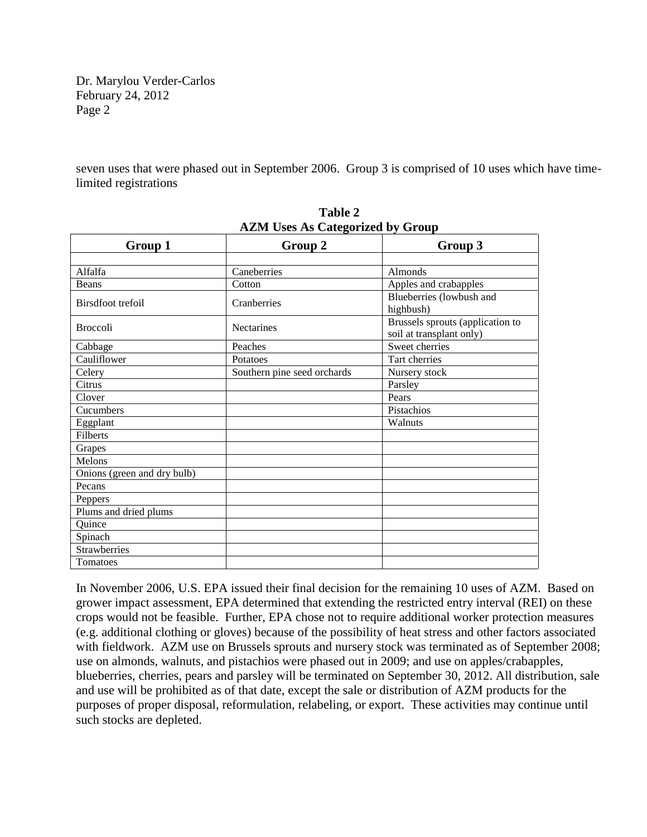Dr. Marylou Verder-Carlos February 24, 2012 Page 2

seven uses that were phased out in September 2006. Group 3 is comprised of 10 uses which have timelimited registrations

| $2.000120$ categorized by Group |                             |                                  |  |  |  |  |
|---------------------------------|-----------------------------|----------------------------------|--|--|--|--|
| Group 1                         | Group 2                     | Group 3                          |  |  |  |  |
|                                 |                             |                                  |  |  |  |  |
| Alfalfa                         | Caneberries                 | Almonds                          |  |  |  |  |
| Beans                           | Cotton                      | Apples and crabapples            |  |  |  |  |
| Birsdfoot trefoil               | Cranberries                 | Blueberries (lowbush and         |  |  |  |  |
|                                 |                             | highbush)                        |  |  |  |  |
| <b>Broccoli</b>                 | <b>Nectarines</b>           | Brussels sprouts (application to |  |  |  |  |
|                                 |                             | soil at transplant only)         |  |  |  |  |
| Cabbage                         | Peaches                     | Sweet cherries                   |  |  |  |  |
| Cauliflower                     | Potatoes                    | Tart cherries                    |  |  |  |  |
| Celery                          | Southern pine seed orchards | Nursery stock                    |  |  |  |  |
| Citrus                          |                             | Parsley                          |  |  |  |  |
| Clover                          |                             | Pears                            |  |  |  |  |
| Cucumbers                       |                             | Pistachios                       |  |  |  |  |
| Eggplant                        |                             | Walnuts                          |  |  |  |  |
| <b>Filberts</b>                 |                             |                                  |  |  |  |  |
| Grapes                          |                             |                                  |  |  |  |  |
| Melons                          |                             |                                  |  |  |  |  |
| Onions (green and dry bulb)     |                             |                                  |  |  |  |  |
| Pecans                          |                             |                                  |  |  |  |  |
| Peppers                         |                             |                                  |  |  |  |  |
| Plums and dried plums           |                             |                                  |  |  |  |  |
| Quince                          |                             |                                  |  |  |  |  |
| Spinach                         |                             |                                  |  |  |  |  |
| <b>Strawberries</b>             |                             |                                  |  |  |  |  |
| Tomatoes                        |                             |                                  |  |  |  |  |

**Table 2 AZM Uses As Categorized by Group**

In November 2006, U.S. EPA issued their final decision for the remaining 10 uses of AZM. Based on grower impact assessment, EPA determined that extending the restricted entry interval (REI) on these crops would not be feasible. Further, EPA chose not to require additional worker protection measures (e.g. additional clothing or gloves) because of the possibility of heat stress and other factors associated with fieldwork. AZM use on Brussels sprouts and nursery stock was terminated as of September 2008; use on almonds, walnuts, and pistachios were phased out in 2009; and use on apples/crabapples, blueberries, cherries, pears and parsley will be terminated on September 30, 2012. All distribution, sale and use will be prohibited as of that date, except the sale or distribution of AZM products for the purposes of proper disposal, reformulation, relabeling, or export. These activities may continue until such stocks are depleted.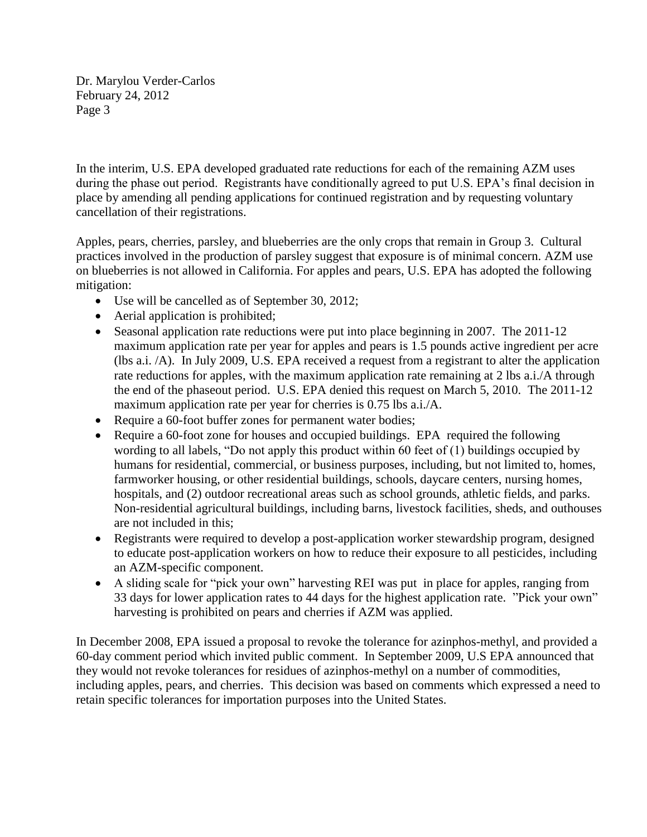Dr. Marylou Verder-Carlos February 24, 2012 Page 3

In the interim, U.S. EPA developed graduated rate reductions for each of the remaining AZM uses during the phase out period. Registrants have conditionally agreed to put U.S. EPA's final decision in place by amending all pending applications for continued registration and by requesting voluntary cancellation of their registrations.

Apples, pears, cherries, parsley, and blueberries are the only crops that remain in Group 3. Cultural practices involved in the production of parsley suggest that exposure is of minimal concern. AZM use on blueberries is not allowed in California. For apples and pears, U.S. EPA has adopted the following mitigation:

- Use will be cancelled as of September 30, 2012;
- Aerial application is prohibited;
- Seasonal application rate reductions were put into place beginning in 2007. The 2011-12 maximum application rate per year for apples and pears is 1.5 pounds active ingredient per acre (lbs a.i. /A). In July 2009, U.S. EPA received a request from a registrant to alter the application rate reductions for apples, with the maximum application rate remaining at 2 lbs a.i./A through the end of the phaseout period. U.S. EPA denied this request on March 5, 2010. The 2011-12 maximum application rate per year for cherries is 0.75 lbs a.i./A.
- Require a 60-foot buffer zones for permanent water bodies;
- Require a 60-foot zone for houses and occupied buildings. EPA required the following wording to all labels, "Do not apply this product within 60 feet of (1) buildings occupied by humans for residential, commercial, or business purposes, including, but not limited to, homes, farmworker housing, or other residential buildings, schools, daycare centers, nursing homes, hospitals, and (2) outdoor recreational areas such as school grounds, athletic fields, and parks. Non-residential agricultural buildings, including barns, livestock facilities, sheds, and outhouses are not included in this;
- Registrants were required to develop a post-application worker stewardship program, designed to educate post-application workers on how to reduce their exposure to all pesticides, including an AZM-specific component.
- A sliding scale for "pick your own" harvesting REI was put in place for apples, ranging from 33 days for lower application rates to 44 days for the highest application rate. "Pick your own" harvesting is prohibited on pears and cherries if AZM was applied.

In December 2008, EPA issued a proposal to revoke the tolerance for azinphos-methyl, and provided a 60-day comment period which invited public comment. In September 2009, U.S EPA announced that they would not revoke tolerances for residues of azinphos-methyl on a number of commodities, including apples, pears, and cherries. This decision was based on comments which expressed a need to retain specific tolerances for importation purposes into the United States.